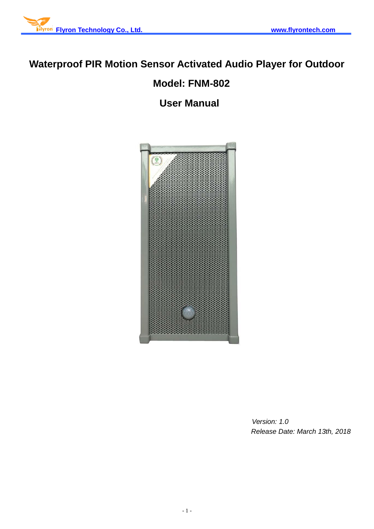

# **Waterproof PIR Motion Sensor Activated Audio Player for Outdoor**

## **Model: FNM-802**

**User Manual**



 *Version: 1.0 Release Date: March 13th, 2018*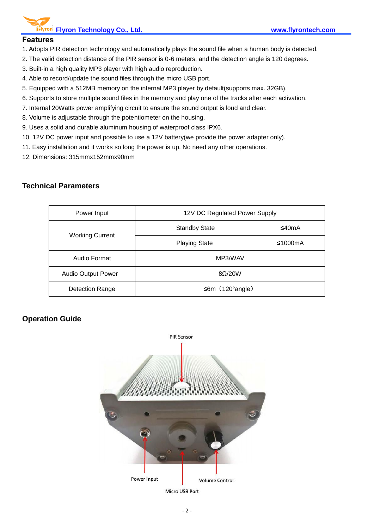**Flyron Technology Co., Ltd. www.flyrontech.com**

#### **Features**

- 1. Adopts PIR detection technology and automatically plays the sound file when a human body is detected.
- 2. The valid detection distance of the PIR sensor is 0-6 meters, and the detection angle is 120 degrees.
- 3. Built-in a high quality MP3 player with high audio reproduction.
- 4. Able to record/update the sound files through the micro USB port.
- 5. Equipped with a 512MB memory on the internal MP3 player by default(supports max. 32GB).
- 6. Supports to store multiple sound files in the memory and play one of the tracks after each activation.
- 7. Internal 20Watts power amplifying circuit to ensure the sound output is loud and clear.
- 8. Volume is adjustable through the potentiometer on the housing.
- 9. Uses a solid and durable aluminum housing of waterproof class IPX6.
- 10. 12V DC power input and possible to use a 12V battery(we provide the power adapter only).
- 11. Easy installation and it works so long the power is up. No need any other operations.
- 12. Dimensions: 315mmx152mmx90mm

#### **Technical Parameters**

| Power Input               | 12V DC Regulated Power Supply |            |
|---------------------------|-------------------------------|------------|
| <b>Working Current</b>    | <b>Standby State</b>          | ≤40mA      |
|                           | <b>Playing State</b>          | ≤1000 $mA$ |
| Audio Format              | MP3/WAV                       |            |
| <b>Audio Output Power</b> | 8Q/20W                        |            |
| <b>Detection Range</b>    | $\leq 6m$ (120°angle)         |            |

## **Operation Guide**

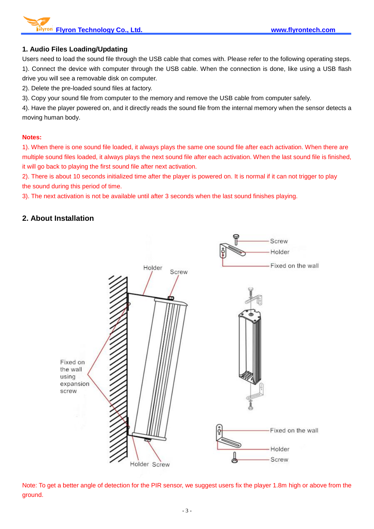**Flyron Technology Co., Ltd. www.flyrontech.com**

#### **1. Audio Files Loading/Updating**

Users need to load the sound file through the USB cable that comes with. Please refer to the following operating steps. 1). Connect the device with computer through the USB cable. When the connection is done, like using a USB flash drive you will see a removable disk on computer.

2). Delete the pre-loaded sound files at factory.

3). Copy your sound file from computer to the memory and remove the USB cable from computer safely.

4). Have the player powered on, and it directly reads the sound file from the internal memory when the sensor detects a moving human body.

#### **Notes:**

1). When there is one sound file loaded, it always plays the same one sound file after each activation. When there are multiple sound files loaded, it always plays the next sound file after each activation. When the last sound file is finished, it will go back to playing the first sound file after next activation.

2). There is about 10 seconds initialized time after the player is powered on. It is normal if it can not trigger to play the sound during this period of time.

3). The next activation is not be available until after 3 seconds when the last sound finishes playing.

### **2. About Installation**



Note: To get a better angle of detection for the PIR sensor, we suggest users fix the player 1.8m high or above from the ground.